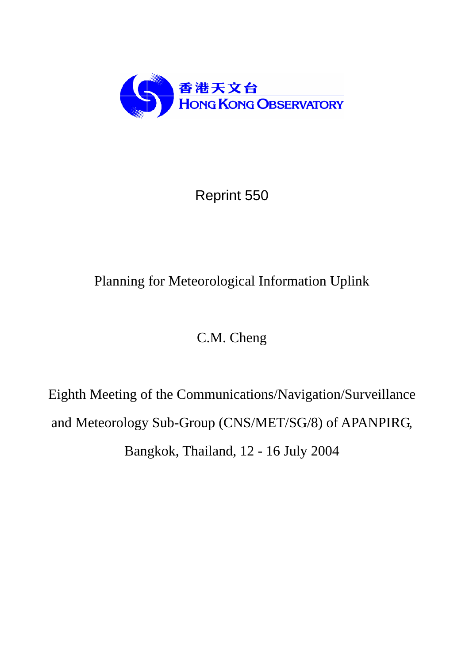

# Reprint 550

# Planning for Meteorological Information Uplink

# C.M. Cheng

Eighth Meeting of the Communications/Navigation/Surveillance and Meteorology Sub-Group (CNS/MET/SG/8) of APANPIRG, Bangkok, Thailand, 12 - 16 July 2004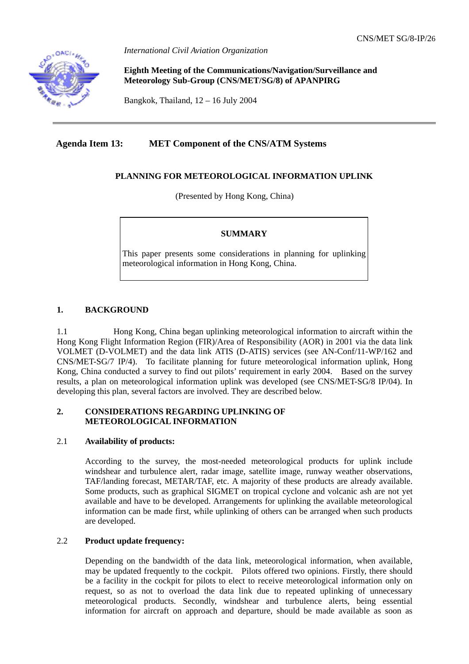

*International Civil Aviation Organization*

**Eighth Meeting of the Communications/Navigation/Surveillance and Meteorology Sub-Group (CNS/MET/SG/8) of APANPIRG** 

Bangkok, Thailand, 12 – 16 July 2004

## **Agenda Item 13: MET Component of the CNS/ATM Systems**

## **PLANNING FOR METEOROLOGICAL INFORMATION UPLINK**

(Presented by Hong Kong, China)

## **SUMMARY**

This paper presents some considerations in planning for uplinking meteorological information in Hong Kong, China.

## **1. BACKGROUND**

1.1 Hong Kong, China began uplinking meteorological information to aircraft within the Hong Kong Flight Information Region (FIR)/Area of Responsibility (AOR) in 2001 via the data link VOLMET (D-VOLMET) and the data link ATIS (D-ATIS) services (see AN-Conf/11-WP/162 and CNS/MET-SG/7 IP/4). To facilitate planning for future meteorological information uplink, Hong Kong, China conducted a survey to find out pilots' requirement in early 2004. Based on the survey results, a plan on meteorological information uplink was developed (see CNS/MET-SG/8 IP/04). In developing this plan, several factors are involved. They are described below.

## **2. CONSIDERATIONS REGARDING UPLINKING OF METEOROLOGICAL INFORMATION**

## 2.1 **Availability of products:**

According to the survey, the most-needed meteorological products for uplink include windshear and turbulence alert, radar image, satellite image, runway weather observations, TAF/landing forecast, METAR/TAF, etc. A majority of these products are already available. Some products, such as graphical SIGMET on tropical cyclone and volcanic ash are not yet available and have to be developed. Arrangements for uplinking the available meteorological information can be made first, while uplinking of others can be arranged when such products are developed.

## 2.2 **Product update frequency:**

Depending on the bandwidth of the data link, meteorological information, when available, may be updated frequently to the cockpit. Pilots offered two opinions. Firstly, there should be a facility in the cockpit for pilots to elect to receive meteorological information only on request, so as not to overload the data link due to repeated uplinking of unnecessary meteorological products. Secondly, windshear and turbulence alerts, being essential information for aircraft on approach and departure, should be made available as soon as